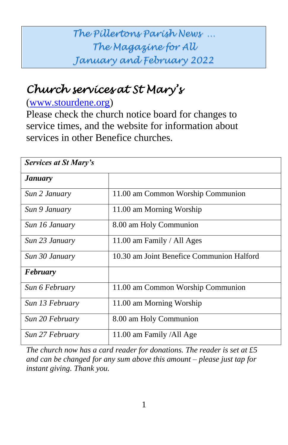## *The Pillertons Parish News … The Magazine for All January and February 2022*

# *Church services at St Mary's*

#### [\(www.stourdene.org\)](http://www.stourdene.org/)

Please check the church notice board for changes to service times, and the website for information about services in other Benefice churches.

| <b>Services at St Mary's</b> |                                           |  |
|------------------------------|-------------------------------------------|--|
| <b><i>January</i></b>        |                                           |  |
| Sun 2 January                | 11.00 am Common Worship Communion         |  |
| Sun 9 January                | 11.00 am Morning Worship                  |  |
| Sun 16 January               | 8.00 am Holy Communion                    |  |
| Sun 23 January               | 11.00 am Family / All Ages                |  |
| Sun 30 January               | 10.30 am Joint Benefice Communion Halford |  |
| February                     |                                           |  |
| Sun 6 February               | 11.00 am Common Worship Communion         |  |
| Sun 13 February              | 11.00 am Morning Worship                  |  |
| Sun 20 February              | 8.00 am Holy Communion                    |  |
| Sun 27 February              | 11.00 am Family /All Age                  |  |

*The church now has a card reader for donations. The reader is set at £5 and can be changed for any sum above this amount – please just tap for instant giving. Thank you.*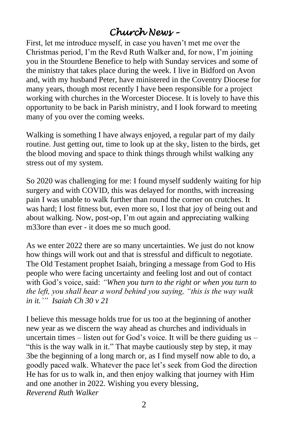#### *Church News –*

First, let me introduce myself, in case you haven't met me over the Christmas period, I'm the Revd Ruth Walker and, for now, I'm joining you in the Stourdene Benefice to help with Sunday services and some of the ministry that takes place during the week. I live in Bidford on Avon and, with my husband Peter, have ministered in the Coventry Diocese for many years, though most recently I have been responsible for a project working with churches in the Worcester Diocese. It is lovely to have this opportunity to be back in Parish ministry, and I look forward to meeting many of you over the coming weeks.

Walking is something I have always enjoyed, a regular part of my daily routine. Just getting out, time to look up at the sky, listen to the birds, get the blood moving and space to think things through whilst walking any stress out of my system.

So 2020 was challenging for me: I found myself suddenly waiting for hip surgery and with COVID, this was delayed for months, with increasing pain I was unable to walk further than round the corner on crutches. It was hard; I lost fitness but, even more so, I lost that joy of being out and about walking. Now, post-op, I'm out again and appreciating walking m33ore than ever - it does me so much good.

As we enter 2022 there are so many uncertainties. We just do not know how things will work out and that is stressful and difficult to negotiate. The Old Testament prophet Isaiah, bringing a message from God to His people who were facing uncertainty and feeling lost and out of contact with God's voice, said: *"When you turn to the right or when you turn to the left, you shall hear a word behind you saying, "this is the way walk in it.'" Isaiah Ch 30 v 21*

I believe this message holds true for us too at the beginning of another new year as we discern the way ahead as churches and individuals in uncertain times – listen out for God's voice. It will be there guiding us – "this is the way walk in it." That maybe cautiously step by step, it may 3be the beginning of a long march or, as I find myself now able to do, a goodly paced walk. Whatever the pace let's seek from God the direction He has for us to walk in, and then enjoy walking that journey with Him and one another in 2022. Wishing you every blessing, *Reverend Ruth Walker*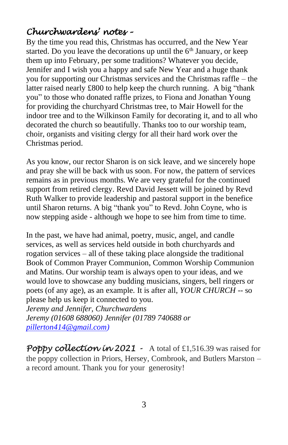#### *Churchwardens' notes –*

By the time you read this, Christmas has occurred, and the New Year started. Do you leave the decorations up until the  $6<sup>th</sup>$  January, or keep them up into February, per some traditions? Whatever you decide, Jennifer and I wish you a happy and safe New Year and a huge thank you for supporting our Christmas services and the Christmas raffle – the latter raised nearly £800 to help keep the church running. A big "thank you" to those who donated raffle prizes, to Fiona and Jonathan Young for providing the churchyard Christmas tree, to Mair Howell for the indoor tree and to the Wilkinson Family for decorating it, and to all who decorated the church so beautifully. Thanks too to our worship team, choir, organists and visiting clergy for all their hard work over the Christmas period.

As you know, our rector Sharon is on sick leave, and we sincerely hope and pray she will be back with us soon. For now, the pattern of services remains as in previous months. We are very grateful for the continued support from retired clergy. Revd David Jessett will be joined by Revd Ruth Walker to provide leadership and pastoral support in the benefice until Sharon returns. A big "thank you" to Revd. John Coyne, who is now stepping aside - although we hope to see him from time to time.

In the past, we have had animal, poetry, music, angel, and candle services, as well as services held outside in both churchyards and rogation services – all of these taking place alongside the traditional Book of Common Prayer Communion, Common Worship Communion and Matins. Our worship team is always open to your ideas, and we would love to showcase any budding musicians, singers, bell ringers or poets (of any age), as an example. It is after all, *YOUR CHURCH* -- so please help us keep it connected to you.

*Jeremy and Jennifer, Churchwardens Jeremy (01608 688060) Jennifer (01789 740688 or [pillerton414@gmail.com\)](mailto:pillerton414@gmail.com)*

Poppy collection in 2021 - A total of £1,516.39 was raised for the poppy collection in Priors, Hersey, Combrook, and Butlers Marston – a record amount. Thank you for your generosity!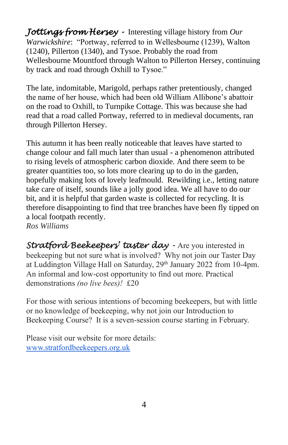*Jottings from Hersey -* Interesting village history from *Our Warwickshire*: "Portway, referred to in Wellesbourne (1239), Walton (1240), Pillerton (1340), and Tysoe. Probably the road from Wellesbourne Mountford through Walton to Pillerton Hersey, continuing by track and road through Oxhill to Tysoe."

The late, indomitable, Marigold, perhaps rather pretentiously, changed the name of her house, which had been old William Allibone's abattoir on the road to Oxhill, to Turnpike Cottage. This was because she had read that a road called Portway, referred to in medieval documents, ran through Pillerton Hersey.

This autumn it has been really noticeable that leaves have started to change colour and fall much later than usual - a phenomenon attributed to rising levels of atmospheric carbon dioxide. And there seem to be greater quantities too, so lots more clearing up to do in the garden, hopefully making lots of lovely leafmould. Rewilding i.e., letting nature take care of itself, sounds like a jolly good idea. We all have to do our bit, and it is helpful that garden waste is collected for recycling. It is therefore disappointing to find that tree branches have been fly tipped on a local footpath recently. *Ros Williams*

*Stratford Beekeepers' taster day -* Are you interested in beekeeping but not sure what is involved? Why not join our Taster Day at Luddington Village Hall on Saturday, 29<sup>th</sup> January 2022 from 10-4pm. An informal and low-cost opportunity to find out more. Practical demonstrations *(no live bees)!* £20

For those with serious intentions of becoming beekeepers, but with little or no knowledge of beekeeping, why not join our Introduction to Beekeeping Course? It is a seven-session course starting in February.

Please visit our website for more details: [www.stratfordbeekeepers.org.uk](http://www.stratfordbeekeepers.org.uk/)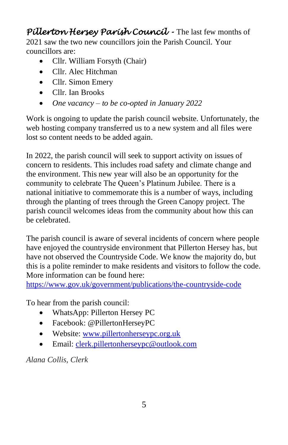*Pillerton Hersey Parish Council -* The last few months of 2021 saw the two new councillors join the Parish Council. Your councillors are:

- Cllr. William Forsyth (Chair)
- Cllr. Alec Hitchman
- Cllr. Simon Emery
- Cllr. Ian Brooks
- *One vacancy – to be co-opted in January 2022*

Work is ongoing to update the parish council website. Unfortunately, the web hosting company transferred us to a new system and all files were lost so content needs to be added again.

In 2022, the parish council will seek to support activity on issues of concern to residents. This includes road safety and climate change and the environment. This new year will also be an opportunity for the community to celebrate The Queen's Platinum Jubilee. There is a national initiative to commemorate this is a number of ways, including through the planting of trees through the Green Canopy project. The parish council welcomes ideas from the community about how this can be celebrated.

The parish council is aware of several incidents of concern where people have enjoyed the countryside environment that Pillerton Hersey has, but have not observed the Countryside Code. We know the majority do, but this is a polite reminder to make residents and visitors to follow the code. More information can be found here:

<https://www.gov.uk/government/publications/the-countryside-code>

To hear from the parish council:

- WhatsApp: Pillerton Hersey PC
- Facebook: @PillertonHerseyPC
- Website: [www.pillertonherseypc.org.uk](http://www.pillertonherseypc.org.uk/)
- Email: [clerk.pillertonherseypc@outlook.com](mailto:clerk.pillertonherseypc@outlook.com)

*Alana Collis, Clerk*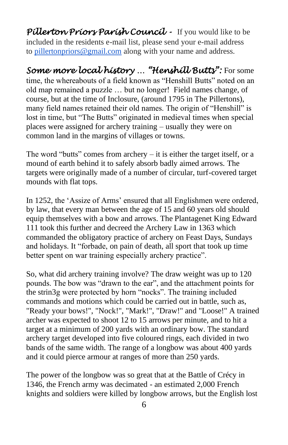*Pillerton Priors Parish Council -* If you would like to be included in the residents e-mail list, please send your e-mail address to [pillertonpriors@gmail.com](mailto:pillertonpriors@gmail.com) along with your name and address.

*Some more local history … "Henshill Butts":* For some time, the whereabouts of a field known as "Henshill Butts" noted on an old map remained a puzzle … but no longer! Field names change, of course, but at the time of Inclosure, (around 1795 in The Pillertons), many field names retained their old names. The origin of "Henshill" is lost in time, but "The Butts" originated in medieval times when special places were assigned for archery training – usually they were on common land in the margins of villages or towns.

The word "butts" comes from archery  $-$  it is either the target itself, or a mound of earth behind it to safely absorb badly aimed arrows. The targets were originally made of a number of circular, turf-covered target mounds with flat tops.

In 1252, the 'Assize of Arms' ensured that all Englishmen were ordered, by law, that every man between the age of 15 and 60 years old should equip themselves with a bow and arrows. The Plantagenet King Edward 111 took this further and decreed the Archery Law in 1363 which commanded the obligatory practice of archery on Feast Days, Sundays and holidays. It "forbade, on pain of death, all sport that took up time better spent on war training especially archery practice".

So, what did archery training involve? The draw weight was up to 120 pounds. The bow was "drawn to the ear", and the attachment points for the strin3g were protected by horn "nocks". The training included commands and motions which could be carried out in battle, such as, "Ready your bows!", "Nock!", "Mark!", "Draw!" and "Loose!" A trained archer was expected to shoot 12 to 15 arrows per minute, and to hit a target at a minimum of 200 yards with an ordinary bow. The standard archery target developed into five coloured rings, each divided in two bands of the same width. The range of a longbow was about 400 yards and it could pierce armour at ranges of more than 250 yards.

The power of the longbow was so great that at the Battle of Crécy in 1346, the French army was decimated - an estimated 2,000 French knights and soldiers were killed by longbow arrows, but the English lost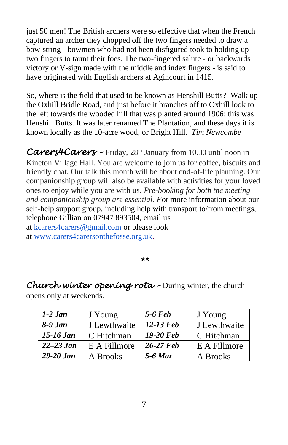just 50 men! The British archers were so effective that when the French captured an archer they chopped off the two fingers needed to draw a bow-string - bowmen who had not been disfigured took to holding up two fingers to taunt their foes. The two-fingered salute - or backwards victory or V-sign made with the middle and index fingers - is said to have originated with English archers at Agincourt in 1415.

So, where is the field that used to be known as Henshill Butts? Walk up the Oxhill Bridle Road, and just before it branches off to Oxhill look to the left towards the wooded hill that was planted around 1906: this was Henshill Butts. It was later renamed The Plantation, and these days it is known locally as the 10-acre wood, or Bright Hill. *Tim Newcombe*

*Carers4Carers –* Friday, 28th January from 10.30 until noon in Kineton Village Hall. You are welcome to join us for coffee, biscuits and friendly chat. Our talk this month will be about end-of-life planning. Our companionship group will also be available with activities for your loved ones to enjoy while you are with us. *Pre-booking for both the meeting and companionship group are essential. F*or more information about our self-help support group, including help with transport to/from meetings, telephone Gillian on 07947 893504, email us at [kcarers4carers@gmail.com](mailto:kcarers4carers@gmail.com) or please look at [www.carers4carersonthefosse.org.uk.](http://www.carers4carersonthefosse.org.uk/)

*\*\** 

#### *Church winter opening rota –* During winter, the church opens only at weekends.

| $1-2 Jan$     | J Young      | <b>5-6 Feb</b> | J Young      |
|---------------|--------------|----------------|--------------|
| 8-9 Jan       | J Lewthwaite | $12-13$ Feb    | J Lewthwaite |
| $15-16$ Jan   | C Hitchman   | 19-20 Feb      | C Hitchman   |
| $22 - 23$ Jan | E A Fillmore | 26-27 Feb      | E A Fillmore |
| $29-20$ Jan   | A Brooks     | $5-6$ Mar      | A Brooks     |